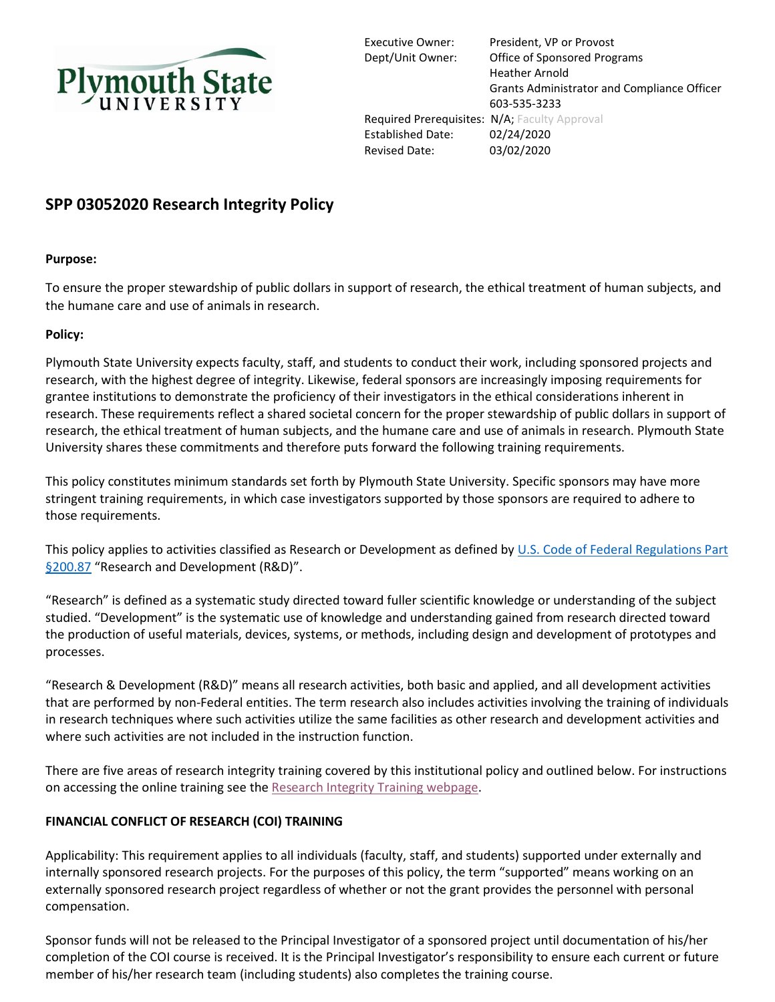

Executive Owner: President, VP or Provost Dept/Unit Owner: Office of Sponsored Programs Heather Arnold Grants Administrator and Compliance Officer 603-535-3233 Required Prerequisites: N/A; Faculty Approval Established Date: 02/24/2020 Revised Date: 03/02/2020

# **SPP 03052020 Research Integrity Policy**

## **Purpose:**

To ensure the proper stewardship of public dollars in support of research, the ethical treatment of human subjects, and the humane care and use of animals in research.

## **Policy:**

Plymouth State University expects faculty, staff, and students to conduct their work, including sponsored projects and research, with the highest degree of integrity. Likewise, federal sponsors are increasingly imposing requirements for grantee institutions to demonstrate the proficiency of their investigators in the ethical considerations inherent in research. These requirements reflect a shared societal concern for the proper stewardship of public dollars in support of research, the ethical treatment of human subjects, and the humane care and use of animals in research. Plymouth State University shares these commitments and therefore puts forward the following training requirements.

This policy constitutes minimum standards set forth by Plymouth State University. Specific sponsors may have more stringent training requirements, in which case investigators supported by those sponsors are required to adhere to those requirements.

This policy applies to activities classified as Research or Development as defined by U.S. Code of Federal Regulations Part [§200.87](https://www.ecfr.gov/cgi-bin/text-idx?SID=f4b57d1502a2b37897330c633fcfc378&node=se2.1.200_187&rgn=div8) "Research and Development (R&D)".

"Research" is defined as a systematic study directed toward fuller scientific knowledge or understanding of the subject studied. "Development" is the systematic use of knowledge and understanding gained from research directed toward the production of useful materials, devices, systems, or methods, including design and development of prototypes and processes.

"Research & Development (R&D)" means all research activities, both basic and applied, and all development activities that are performed by non-Federal entities. The term research also includes activities involving the training of individuals in research techniques where such activities utilize the same facilities as other research and development activities and where such activities are not included in the instruction function.

There are five areas of research integrity training covered by this institutional policy and outlined below. For instructions on accessing the online training see th[e Research Integrity Training webpage.](https://campus.plymouth.edu/research-administration/training-2/compliance-training-citi/)

## **FINANCIAL CONFLICT OF RESEARCH (COI) TRAINING**

Applicability: This requirement applies to all individuals (faculty, staff, and students) supported under externally and internally sponsored research projects. For the purposes of this policy, the term "supported" means working on an externally sponsored research project regardless of whether or not the grant provides the personnel with personal compensation.

Sponsor funds will not be released to the Principal Investigator of a sponsored project until documentation of his/her completion of the COI course is received. It is the Principal Investigator's responsibility to ensure each current or future member of his/her research team (including students) also completes the training course.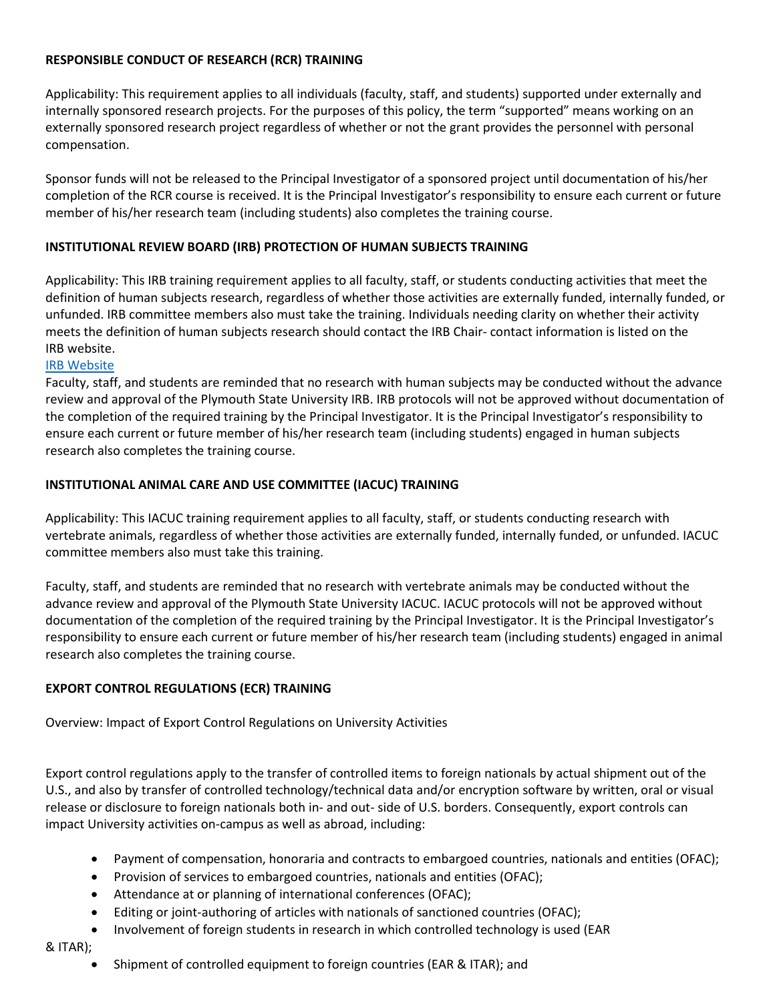## **RESPONSIBLE CONDUCT OF RESEARCH (RCR) TRAINING**

Applicability: This requirement applies to all individuals (faculty, staff, and students) supported under externally and internally sponsored research projects. For the purposes of this policy, the term "supported" means working on an externally sponsored research project regardless of whether or not the grant provides the personnel with personal compensation.

Sponsor funds will not be released to the Principal Investigator of a sponsored project until documentation of his/her completion of the RCR course is received. It is the Principal Investigator's responsibility to ensure each current or future member of his/her research team (including students) also completes the training course.

## **INSTITUTIONAL REVIEW BOARD (IRB) PROTECTION OF HUMAN SUBJECTS TRAINING**

Applicability: This IRB training requirement applies to all faculty, staff, or students conducting activities that meet the definition of human subjects research, regardless of whether those activities are externally funded, internally funded, or unfunded. IRB committee members also must take the training. Individuals needing clarity on whether their activity meets the definition of human subjects research should contact the IRB Chair- contact information is listed on the IRB website.

## [IRB Website](https://campus.plymouth.edu/institutional-review-board/)

Faculty, staff, and students are reminded that no research with human subjects may be conducted without the advance review and approval of the Plymouth State University IRB. IRB protocols will not be approved without documentation of the completion of the required training by the Principal Investigator. It is the Principal Investigator's responsibility to ensure each current or future member of his/her research team (including students) engaged in human subjects research also completes the training course.

## **INSTITUTIONAL ANIMAL CARE AND USE COMMITTEE (IACUC) TRAINING**

Applicability: This IACUC training requirement applies to all faculty, staff, or students conducting research with vertebrate animals, regardless of whether those activities are externally funded, internally funded, or unfunded. IACUC committee members also must take this training.

Faculty, staff, and students are reminded that no research with vertebrate animals may be conducted without the advance review and approval of the Plymouth State University IACUC. IACUC protocols will not be approved without documentation of the completion of the required training by the Principal Investigator. It is the Principal Investigator's responsibility to ensure each current or future member of his/her research team (including students) engaged in animal research also completes the training course.

## **EXPORT CONTROL REGULATIONS (ECR) TRAINING**

Overview: Impact of Export Control Regulations on University Activities

Export control regulations apply to the transfer of controlled items to foreign nationals by actual shipment out of the U.S., and also by transfer of controlled technology/technical data and/or encryption software by written, oral or visual release or disclosure to foreign nationals both in- and out- side of U.S. borders. Consequently, export controls can impact University activities on-campus as well as abroad, including:

- Payment of compensation, honoraria and contracts to embargoed countries, nationals and entities (OFAC);
- Provision of services to embargoed countries, nationals and entities (OFAC);
- Attendance at or planning of international conferences (OFAC);
- Editing or joint-authoring of articles with nationals of sanctioned countries (OFAC);
- Involvement of foreign students in research in which controlled technology is used (EAR
- & ITAR);
	- Shipment of controlled equipment to foreign countries (EAR & ITAR); and